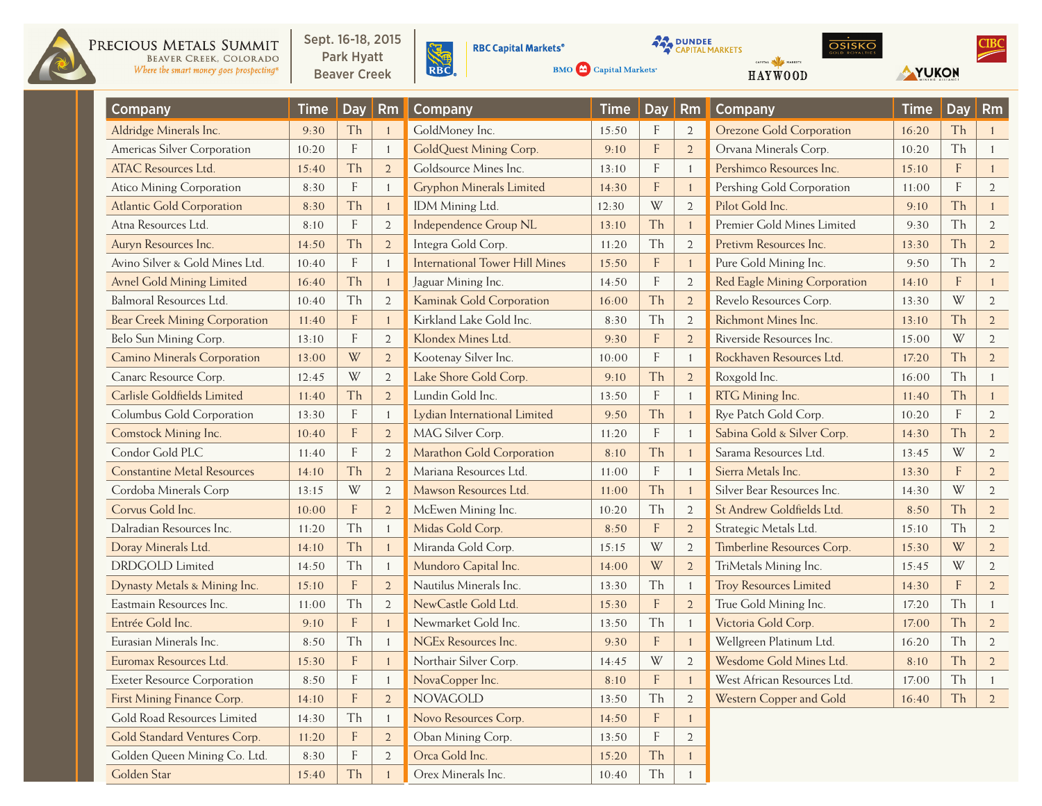

PRECIOUS METALS SUMMIT BEAVER CREEK, COLORADO Where the smart money goes prospecting<sup>®</sup> Sept. 16-18, 2015 Park Hyatt **Beaver Creek** 



**RBC Capital Markets<sup>®</sup>** 

**BMO**  $\bigodot$  Capital Markets<sup>®</sup>

**AMPIRICIAL MARKETS** 



 $CIBC$ 

YUKON

| <b>Company</b>                       | <b>Time</b> | <b>Day</b>                | Rm             | Company                               | <b>Time</b> | <b>Day</b>                | Rm             | <b>Company</b>                  | <b>Time</b> | <b>Day</b>                | <b>Rm</b>      |
|--------------------------------------|-------------|---------------------------|----------------|---------------------------------------|-------------|---------------------------|----------------|---------------------------------|-------------|---------------------------|----------------|
| Aldridge Minerals Inc.               | 9:30        | Th                        |                | GoldMoney Inc.                        | 15:50       | F                         | $\overline{2}$ | <b>Orezone Gold Corporation</b> | 16:20       | Th                        |                |
| Americas Silver Corporation          | 10:20       | $\mathbf{F}$              |                | GoldQuest Mining Corp.                | 9:10        | $\overline{F}$            | $\overline{2}$ | Orvana Minerals Corp.           | 10:20       | Th                        |                |
| <b>ATAC Resources Ltd.</b>           | 15:40       | Th                        | $\overline{2}$ | Goldsource Mines Inc.                 | 13:10       | F                         | $\overline{1}$ | Pershimco Resources Inc.        | 15:10       | $\boldsymbol{\mathsf{F}}$ |                |
| Atico Mining Corporation             | 8:30        | F                         | -1             | <b>Gryphon Minerals Limited</b>       | 14:30       | F                         | $\overline{1}$ | Pershing Gold Corporation       | 11:00       | F                         | $\overline{2}$ |
| <b>Atlantic Gold Corporation</b>     | 8:30        | Th                        | $\blacksquare$ | IDM Mining Ltd.                       | 12:30       | W                         | $\overline{2}$ | Pilot Gold Inc.                 | 9:10        | Th                        | $\mathbf{1}$   |
| Atna Resources Ltd.                  | 8:10        | $\boldsymbol{\mathsf{F}}$ | $\overline{2}$ | <b>Independence Group NL</b>          | 13:10       | Th                        | $\overline{1}$ | Premier Gold Mines Limited      | 9:30        | Th                        | $\overline{2}$ |
| Auryn Resources Inc.                 | 14:50       | Th                        | $\overline{2}$ | Integra Gold Corp.                    | 11:20       | Th                        | $\mathfrak{2}$ | Pretivm Resources Inc.          | 13:30       | Th                        | $\overline{2}$ |
| Avino Silver & Gold Mines Ltd.       | 10:40       | $\boldsymbol{\mathsf{F}}$ | $\overline{1}$ | <b>International Tower Hill Mines</b> | 15:50       | $\boldsymbol{\mathsf{F}}$ | $\overline{1}$ | Pure Gold Mining Inc.           | 9:50        | Th                        | $\overline{2}$ |
| Avnel Gold Mining Limited            | 16:40       | Th                        | $\overline{1}$ | Jaguar Mining Inc.                    | 14:50       | F                         | $\overline{2}$ | Red Eagle Mining Corporation    | 14:10       | F                         |                |
| Balmoral Resources Ltd.              | 10:40       | Th                        | $\overline{2}$ | Kaminak Gold Corporation              | 16:00       | Th                        | $\overline{2}$ | Revelo Resources Corp.          | 13:30       | W                         | $\overline{2}$ |
| <b>Bear Creek Mining Corporation</b> | 11:40       | $\boldsymbol{\mathsf{F}}$ | $\blacksquare$ | Kirkland Lake Gold Inc.               | 8:30        | Th                        | $\mathfrak{2}$ | Richmont Mines Inc.             | 13:10       | Th                        | $\sqrt{2}$     |
| Belo Sun Mining Corp.                | 13:10       | $\mathsf{F}$              | $\overline{2}$ | Klondex Mines Ltd.                    | 9:30        | F                         | $\overline{2}$ | Riverside Resources Inc.        | 15:00       | W                         | $\overline{2}$ |
| <b>Camino Minerals Corporation</b>   | 13:00       | W                         | $\overline{2}$ | Kootenay Silver Inc.                  | 10:00       | F                         | $\overline{1}$ | Rockhaven Resources Ltd.        | 17:20       | Th                        | $\overline{2}$ |
| Canarc Resource Corp.                | 12:45       | W                         | $\overline{2}$ | Lake Shore Gold Corp.                 | 9:10        | Th                        | $\overline{2}$ | Roxgold Inc.                    | 16:00       | Th                        | 1              |
| Carlisle Goldfields Limited          | 11:40       | Th                        | $\overline{2}$ | Lundin Gold Inc.                      | 13:50       | F                         | $\overline{1}$ | RTG Mining Inc.                 | 11:40       | Th                        | $\mathbf{1}$   |
| Columbus Gold Corporation            | 13:30       | F                         | -1             | Lydian International Limited          | 9:50        | Th                        | $\overline{1}$ | Rye Patch Gold Corp.            | 10:20       | F                         | $\overline{2}$ |
| Comstock Mining Inc.                 | 10:40       | F                         | $\overline{2}$ | MAG Silver Corp.                      | 11:20       | F                         | $\overline{1}$ | Sabina Gold & Silver Corp.      | 14:30       | Th                        | $\overline{2}$ |
| Condor Gold PLC                      | 11:40       | $\boldsymbol{\mathsf{F}}$ | $\overline{2}$ | Marathon Gold Corporation             | 8:10        | Th                        |                | Sarama Resources Ltd.           | 13:45       | W                         | $\overline{2}$ |
| <b>Constantine Metal Resources</b>   | 14:10       | Th                        | $\overline{2}$ | Mariana Resources Ltd.                | 11:00       | F                         | $\overline{1}$ | Sierra Metals Inc.              | 13:30       | F                         | $\overline{2}$ |
| Cordoba Minerals Corp                | 13:15       | W                         | $\overline{2}$ | Mawson Resources Ltd.                 | 11:00       | Th                        | $\overline{1}$ | Silver Bear Resources Inc.      | 14:30       | W                         | $\overline{2}$ |
| Corvus Gold Inc.                     | 10:00       | $\overline{F}$            | $\overline{2}$ | McEwen Mining Inc.                    | 10:20       | Th                        | $\mathfrak{2}$ | St Andrew Goldfields Ltd.       | 8:50        | Th                        | $\overline{2}$ |
| Dalradian Resources Inc.             | 11:20       | Th                        | -1             | Midas Gold Corp.                      | 8:50        | F                         | $\overline{2}$ | Strategic Metals Ltd.           | 15:10       | Th                        | $\overline{2}$ |
| Doray Minerals Ltd.                  | 14:10       | Th                        | $\overline{1}$ | Miranda Gold Corp.                    | 15:15       | W                         | $\overline{2}$ | Timberline Resources Corp.      | 15:30       | W                         | $\overline{2}$ |
| <b>DRDGOLD</b> Limited               | 14:50       | Th                        | $\overline{1}$ | Mundoro Capital Inc.                  | 14:00       | W                         | $\overline{2}$ | TriMetals Mining Inc.           | 15:45       | W                         | $\overline{2}$ |
| Dynasty Metals & Mining Inc.         | 15:10       | $\mathbf{F}$              | $\overline{2}$ | Nautilus Minerals Inc.                | 13:30       | Th                        | $\mathbf{1}$   | <b>Troy Resources Limited</b>   | 14:30       | F                         | $\overline{2}$ |
| Eastmain Resources Inc.              | 11:00       | Th                        | $\overline{2}$ | NewCastle Gold Ltd.                   | 15:30       | F                         | $\overline{2}$ | True Gold Mining Inc.           | 17:20       | Th                        | 1              |
| Entrée Gold Inc.                     | 9:10        | $\mathbf{F}$              |                | Newmarket Gold Inc.                   | 13:50       | Th                        | $\mathbf{1}$   | Victoria Gold Corp.             | 17:00       | Th                        | $\overline{2}$ |
| Eurasian Minerals Inc.               | 8:50        | Th                        | $\mathbf{1}$   | <b>NGEx Resources Inc.</b>            | 9:30        | $\mathbf F$               | $\overline{1}$ | Wellgreen Platinum Ltd.         | 16:20       | Th                        | $\overline{2}$ |
| Euromax Resources Ltd.               | 15:30       | F                         |                | Northair Silver Corp.                 | 14:45       | W                         | $\overline{2}$ | Wesdome Gold Mines Ltd.         | 8:10        | Th                        | $\overline{2}$ |
| <b>Exeter Resource Corporation</b>   | 8:50        | F                         |                | NovaCopper Inc.                       | 8:10        | $\overline{F}$            |                | West African Resources Ltd.     | 17:00       | Th                        |                |
| First Mining Finance Corp.           | 14:10       | F                         | $\overline{2}$ | <b>NOVAGOLD</b>                       | 13:50       | Th                        | $\overline{2}$ | Western Copper and Gold         | 16:40       | Th                        | $\overline{2}$ |
| Gold Road Resources Limited          | 14:30       | Th                        | -1             | Novo Resources Corp.                  | 14:50       | $\boldsymbol{\mathsf{F}}$ | $\mathbf{1}$   |                                 |             |                           |                |
| Gold Standard Ventures Corp.         | 11:20       | $\mathbf F$               | $\overline{2}$ | Oban Mining Corp.                     | 13:50       | $\boldsymbol{\mathsf{F}}$ | $\overline{2}$ |                                 |             |                           |                |
| Golden Queen Mining Co. Ltd.         | 8:30        | F                         | $\overline{2}$ | Orca Gold Inc.                        | 15:20       | Th                        |                |                                 |             |                           |                |
| Golden Star                          | 15:40       | Th                        |                | Orex Minerals Inc.                    | 10:40       | Th                        |                |                                 |             |                           |                |